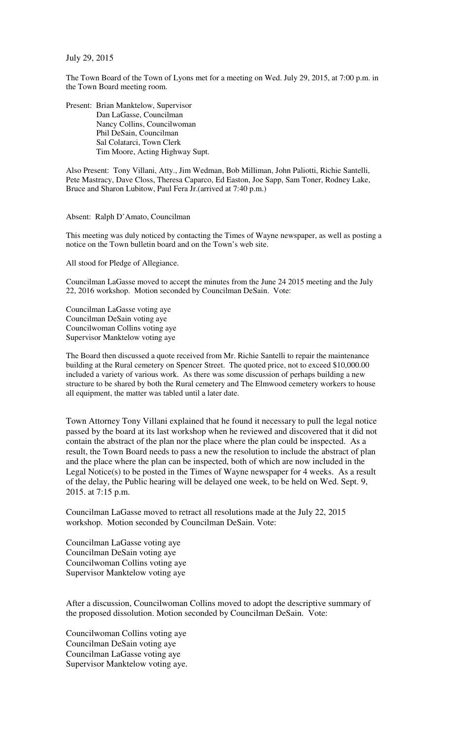July 29, 2015

The Town Board of the Town of Lyons met for a meeting on Wed. July 29, 2015, at 7:00 p.m. in the Town Board meeting room.

Present: Brian Manktelow, Supervisor Dan LaGasse, Councilman Nancy Collins, Councilwoman Phil DeSain, Councilman Sal Colatarci, Town Clerk Tim Moore, Acting Highway Supt.

Also Present: Tony Villani, Atty., Jim Wedman, Bob Milliman, John Paliotti, Richie Santelli, Pete Mastracy, Dave Closs, Theresa Caparco, Ed Easton, Joe Sapp, Sam Toner, Rodney Lake, Bruce and Sharon Lubitow, Paul Fera Jr.(arrived at 7:40 p.m.)

Absent: Ralph D'Amato, Councilman

This meeting was duly noticed by contacting the Times of Wayne newspaper, as well as posting a notice on the Town bulletin board and on the Town's web site.

All stood for Pledge of Allegiance.

Councilman LaGasse moved to accept the minutes from the June 24 2015 meeting and the July 22, 2016 workshop. Motion seconded by Councilman DeSain. Vote:

Councilman LaGasse voting aye Councilman DeSain voting aye Councilwoman Collins voting aye Supervisor Manktelow voting aye

The Board then discussed a quote received from Mr. Richie Santelli to repair the maintenance building at the Rural cemetery on Spencer Street. The quoted price, not to exceed \$10,000.00 included a variety of various work. As there was some discussion of perhaps building a new structure to be shared by both the Rural cemetery and The Elmwood cemetery workers to house all equipment, the matter was tabled until a later date.

Town Attorney Tony Villani explained that he found it necessary to pull the legal notice passed by the board at its last workshop when he reviewed and discovered that it did not contain the abstract of the plan nor the place where the plan could be inspected. As a result, the Town Board needs to pass a new the resolution to include the abstract of plan and the place where the plan can be inspected, both of which are now included in the Legal Notice(s) to be posted in the Times of Wayne newspaper for 4 weeks. As a result of the delay, the Public hearing will be delayed one week, to be held on Wed. Sept. 9, 2015. at 7:15 p.m.

Councilman LaGasse moved to retract all resolutions made at the July 22, 2015 workshop. Motion seconded by Councilman DeSain. Vote:

Councilman LaGasse voting aye Councilman DeSain voting aye Councilwoman Collins voting aye Supervisor Manktelow voting aye

After a discussion, Councilwoman Collins moved to adopt the descriptive summary of the proposed dissolution. Motion seconded by Councilman DeSain. Vote:

Councilwoman Collins voting aye Councilman DeSain voting aye Councilman LaGasse voting aye Supervisor Manktelow voting aye.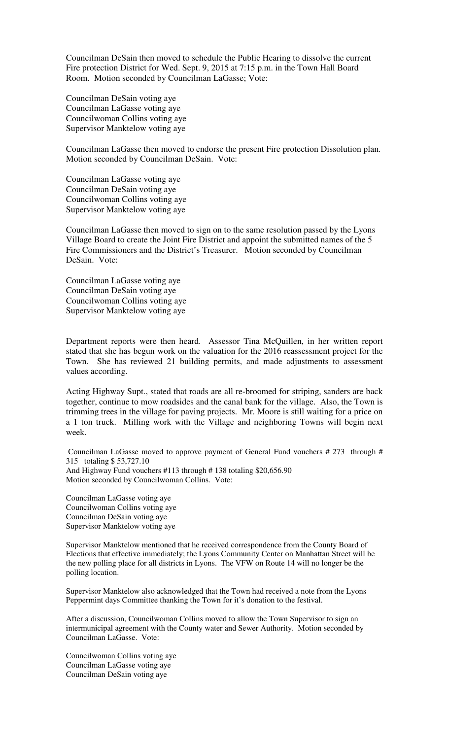Councilman DeSain then moved to schedule the Public Hearing to dissolve the current Fire protection District for Wed. Sept. 9, 2015 at 7:15 p.m. in the Town Hall Board Room. Motion seconded by Councilman LaGasse; Vote:

Councilman DeSain voting aye Councilman LaGasse voting aye Councilwoman Collins voting aye Supervisor Manktelow voting aye

Councilman LaGasse then moved to endorse the present Fire protection Dissolution plan. Motion seconded by Councilman DeSain. Vote:

Councilman LaGasse voting aye Councilman DeSain voting aye Councilwoman Collins voting aye Supervisor Manktelow voting aye

Councilman LaGasse then moved to sign on to the same resolution passed by the Lyons Village Board to create the Joint Fire District and appoint the submitted names of the 5 Fire Commissioners and the District's Treasurer. Motion seconded by Councilman DeSain. Vote:

Councilman LaGasse voting aye Councilman DeSain voting aye Councilwoman Collins voting aye Supervisor Manktelow voting aye

Department reports were then heard. Assessor Tina McQuillen, in her written report stated that she has begun work on the valuation for the 2016 reassessment project for the Town. She has reviewed 21 building permits, and made adjustments to assessment values according.

Acting Highway Supt., stated that roads are all re-broomed for striping, sanders are back together, continue to mow roadsides and the canal bank for the village. Also, the Town is trimming trees in the village for paving projects. Mr. Moore is still waiting for a price on a 1 ton truck. Milling work with the Village and neighboring Towns will begin next week.

Councilman LaGasse moved to approve payment of General Fund vouchers # 273 through # 315 totaling \$ 53,727.10 And Highway Fund vouchers #113 through # 138 totaling \$20,656.90 Motion seconded by Councilwoman Collins. Vote:

Councilman LaGasse voting aye Councilwoman Collins voting aye Councilman DeSain voting aye Supervisor Manktelow voting aye

Supervisor Manktelow mentioned that he received correspondence from the County Board of Elections that effective immediately; the Lyons Community Center on Manhattan Street will be the new polling place for all districts in Lyons. The VFW on Route 14 will no longer be the polling location.

Supervisor Manktelow also acknowledged that the Town had received a note from the Lyons Peppermint days Committee thanking the Town for it's donation to the festival.

After a discussion, Councilwoman Collins moved to allow the Town Supervisor to sign an intermunicipal agreement with the County water and Sewer Authority. Motion seconded by Councilman LaGasse. Vote:

Councilwoman Collins voting aye Councilman LaGasse voting aye Councilman DeSain voting aye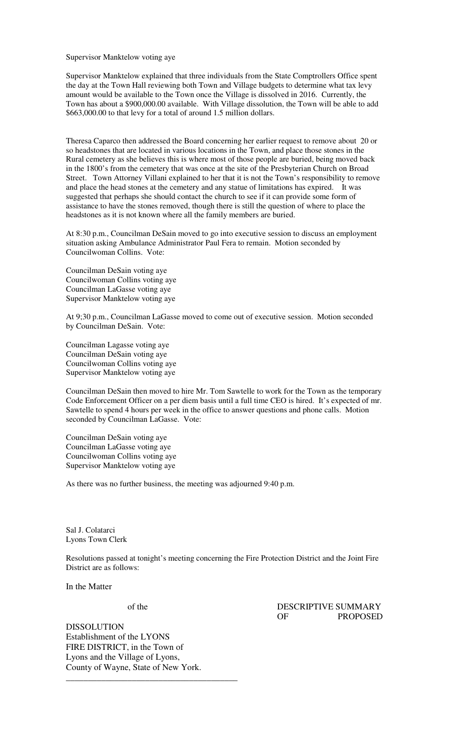Supervisor Manktelow voting aye

Supervisor Manktelow explained that three individuals from the State Comptrollers Office spent the day at the Town Hall reviewing both Town and Village budgets to determine what tax levy amount would be available to the Town once the Village is dissolved in 2016. Currently, the Town has about a \$900,000.00 available. With Village dissolution, the Town will be able to add \$663,000.00 to that levy for a total of around 1.5 million dollars.

Theresa Caparco then addressed the Board concerning her earlier request to remove about 20 or so headstones that are located in various locations in the Town, and place those stones in the Rural cemetery as she believes this is where most of those people are buried, being moved back in the 1800's from the cemetery that was once at the site of the Presbyterian Church on Broad Street. Town Attorney Villani explained to her that it is not the Town's responsibility to remove and place the head stones at the cemetery and any statue of limitations has expired. It was suggested that perhaps she should contact the church to see if it can provide some form of assistance to have the stones removed, though there is still the question of where to place the headstones as it is not known where all the family members are buried.

At 8:30 p.m., Councilman DeSain moved to go into executive session to discuss an employment situation asking Ambulance Administrator Paul Fera to remain. Motion seconded by Councilwoman Collins. Vote:

Councilman DeSain voting aye Councilwoman Collins voting aye Councilman LaGasse voting aye Supervisor Manktelow voting aye

At 9;30 p.m., Councilman LaGasse moved to come out of executive session. Motion seconded by Councilman DeSain. Vote:

Councilman Lagasse voting aye Councilman DeSain voting aye Councilwoman Collins voting aye Supervisor Manktelow voting aye

Councilman DeSain then moved to hire Mr. Tom Sawtelle to work for the Town as the temporary Code Enforcement Officer on a per diem basis until a full time CEO is hired. It's expected of mr. Sawtelle to spend 4 hours per week in the office to answer questions and phone calls. Motion seconded by Councilman LaGasse. Vote:

Councilman DeSain voting aye Councilman LaGasse voting aye Councilwoman Collins voting aye Supervisor Manktelow voting aye

As there was no further business, the meeting was adjourned 9:40 p.m.

Sal J. Colatarci Lyons Town Clerk

Resolutions passed at tonight's meeting concerning the Fire Protection District and the Joint Fire District are as follows:

In the Matter

 of the DESCRIPTIVE SUMMARY OF PROPOSED

DISSOLUTION Establishment of the LYONS FIRE DISTRICT, in the Town of Lyons and the Village of Lyons, County of Wayne, State of New York. \_\_\_\_\_\_\_\_\_\_\_\_\_\_\_\_\_\_\_\_\_\_\_\_\_\_\_\_\_\_\_\_\_\_\_\_\_\_\_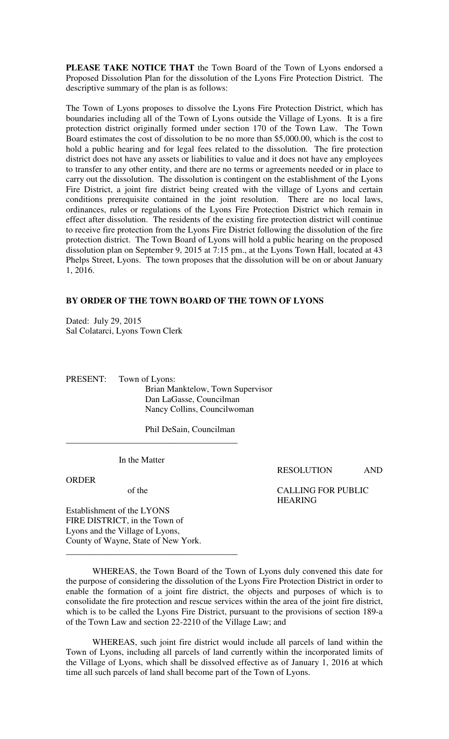**PLEASE TAKE NOTICE THAT** the Town Board of the Town of Lyons endorsed a Proposed Dissolution Plan for the dissolution of the Lyons Fire Protection District. The descriptive summary of the plan is as follows:

The Town of Lyons proposes to dissolve the Lyons Fire Protection District, which has boundaries including all of the Town of Lyons outside the Village of Lyons. It is a fire protection district originally formed under section 170 of the Town Law. The Town Board estimates the cost of dissolution to be no more than \$5,000.00, which is the cost to hold a public hearing and for legal fees related to the dissolution. The fire protection district does not have any assets or liabilities to value and it does not have any employees to transfer to any other entity, and there are no terms or agreements needed or in place to carry out the dissolution. The dissolution is contingent on the establishment of the Lyons Fire District, a joint fire district being created with the village of Lyons and certain conditions prerequisite contained in the joint resolution. There are no local laws, ordinances, rules or regulations of the Lyons Fire Protection District which remain in effect after dissolution. The residents of the existing fire protection district will continue to receive fire protection from the Lyons Fire District following the dissolution of the fire protection district. The Town Board of Lyons will hold a public hearing on the proposed dissolution plan on September 9, 2015 at 7:15 pm., at the Lyons Town Hall, located at 43 Phelps Street, Lyons. The town proposes that the dissolution will be on or about January 1, 2016.

## **BY ORDER OF THE TOWN BOARD OF THE TOWN OF LYONS**

Dated: July 29, 2015 Sal Colatarci, Lyons Town Clerk

PRESENT: Town of Lyons: Brian Manktelow, Town Supervisor Dan LaGasse, Councilman Nancy Collins, Councilwoman

Phil DeSain, Councilman

In the Matter

\_\_\_\_\_\_\_\_\_\_\_\_\_\_\_\_\_\_\_\_\_\_\_\_\_\_\_\_\_\_\_\_\_\_\_\_\_\_\_

\_\_\_\_\_\_\_\_\_\_\_\_\_\_\_\_\_\_\_\_\_\_\_\_\_\_\_\_\_\_\_\_\_\_\_\_\_\_\_

ORDER

Establishment of the LYONS FIRE DISTRICT, in the Town of Lyons and the Village of Lyons, County of Wayne, State of New York. RESOLUTION AND

 of the CALLING FOR PUBLIC HEARING

 WHEREAS, the Town Board of the Town of Lyons duly convened this date for the purpose of considering the dissolution of the Lyons Fire Protection District in order to enable the formation of a joint fire district, the objects and purposes of which is to consolidate the fire protection and rescue services within the area of the joint fire district, which is to be called the Lyons Fire District, pursuant to the provisions of section 189-a of the Town Law and section 22-2210 of the Village Law; and

WHEREAS, such joint fire district would include all parcels of land within the Town of Lyons, including all parcels of land currently within the incorporated limits of the Village of Lyons, which shall be dissolved effective as of January 1, 2016 at which time all such parcels of land shall become part of the Town of Lyons.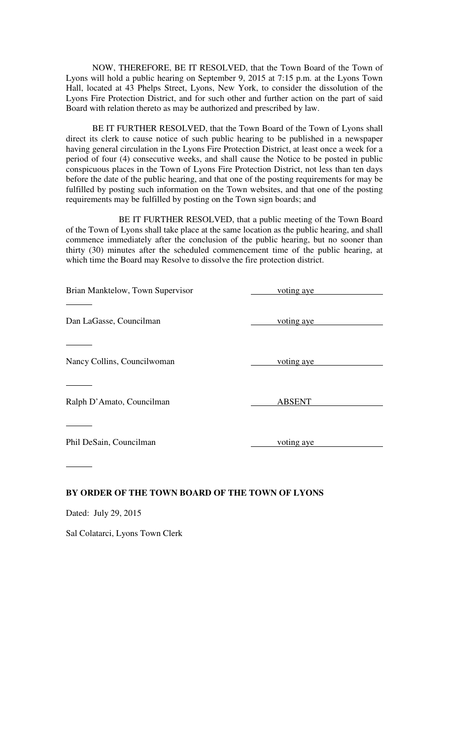NOW, THEREFORE, BE IT RESOLVED, that the Town Board of the Town of Lyons will hold a public hearing on September 9, 2015 at 7:15 p.m. at the Lyons Town Hall, located at 43 Phelps Street, Lyons, New York, to consider the dissolution of the Lyons Fire Protection District, and for such other and further action on the part of said Board with relation thereto as may be authorized and prescribed by law.

BE IT FURTHER RESOLVED, that the Town Board of the Town of Lyons shall direct its clerk to cause notice of such public hearing to be published in a newspaper having general circulation in the Lyons Fire Protection District, at least once a week for a period of four (4) consecutive weeks, and shall cause the Notice to be posted in public conspicuous places in the Town of Lyons Fire Protection District, not less than ten days before the date of the public hearing, and that one of the posting requirements for may be fulfilled by posting such information on the Town websites, and that one of the posting requirements may be fulfilled by posting on the Town sign boards; and

 BE IT FURTHER RESOLVED, that a public meeting of the Town Board of the Town of Lyons shall take place at the same location as the public hearing, and shall commence immediately after the conclusion of the public hearing, but no sooner than thirty (30) minutes after the scheduled commencement time of the public hearing, at which time the Board may Resolve to dissolve the fire protection district.

| Brian Manktelow, Town Supervisor                | voting aye    |
|-------------------------------------------------|---------------|
| Dan LaGasse, Councilman                         | voting aye    |
| Nancy Collins, Councilwoman                     | voting aye    |
| Ralph D'Amato, Councilman                       | <b>ABSENT</b> |
| Phil DeSain, Councilman                         | voting aye    |
| BY ORDER OF THE TOWN BOARD OF THE TOWN OF LYONS |               |

Dated: July 29, 2015

Sal Colatarci, Lyons Town Clerk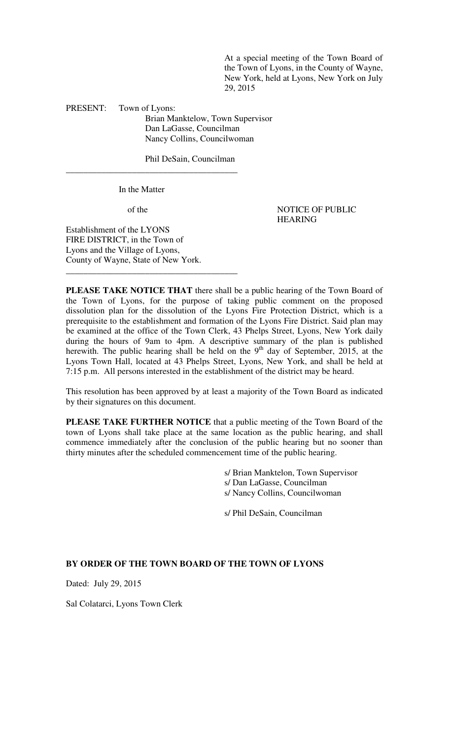At a special meeting of the Town Board of the Town of Lyons, in the County of Wayne, New York, held at Lyons, New York on July 29, 2015

PRESENT: Town of Lyons:

Brian Manktelow, Town Supervisor Dan LaGasse, Councilman Nancy Collins, Councilwoman

Phil DeSain, Councilman

In the Matter

\_\_\_\_\_\_\_\_\_\_\_\_\_\_\_\_\_\_\_\_\_\_\_\_\_\_\_\_\_\_\_\_\_\_\_\_\_\_\_

\_\_\_\_\_\_\_\_\_\_\_\_\_\_\_\_\_\_\_\_\_\_\_\_\_\_\_\_\_\_\_\_\_\_\_\_\_\_\_

of the NOTICE OF PUBLIC HEARING

Establishment of the LYONS FIRE DISTRICT, in the Town of Lyons and the Village of Lyons, County of Wayne, State of New York.

**PLEASE TAKE NOTICE THAT** there shall be a public hearing of the Town Board of the Town of Lyons, for the purpose of taking public comment on the proposed dissolution plan for the dissolution of the Lyons Fire Protection District, which is a prerequisite to the establishment and formation of the Lyons Fire District. Said plan may be examined at the office of the Town Clerk, 43 Phelps Street, Lyons, New York daily during the hours of 9am to 4pm. A descriptive summary of the plan is published herewith. The public hearing shall be held on the  $9<sup>th</sup>$  day of September, 2015, at the Lyons Town Hall, located at 43 Phelps Street, Lyons, New York, and shall be held at 7:15 p.m. All persons interested in the establishment of the district may be heard.

This resolution has been approved by at least a majority of the Town Board as indicated by their signatures on this document.

**PLEASE TAKE FURTHER NOTICE** that a public meeting of the Town Board of the town of Lyons shall take place at the same location as the public hearing, and shall commence immediately after the conclusion of the public hearing but no sooner than thirty minutes after the scheduled commencement time of the public hearing.

> s/ Brian Manktelon, Town Supervisor s/ Dan LaGasse, Councilman s/ Nancy Collins, Councilwoman

s/ Phil DeSain, Councilman

### **BY ORDER OF THE TOWN BOARD OF THE TOWN OF LYONS**

Dated: July 29, 2015

Sal Colatarci, Lyons Town Clerk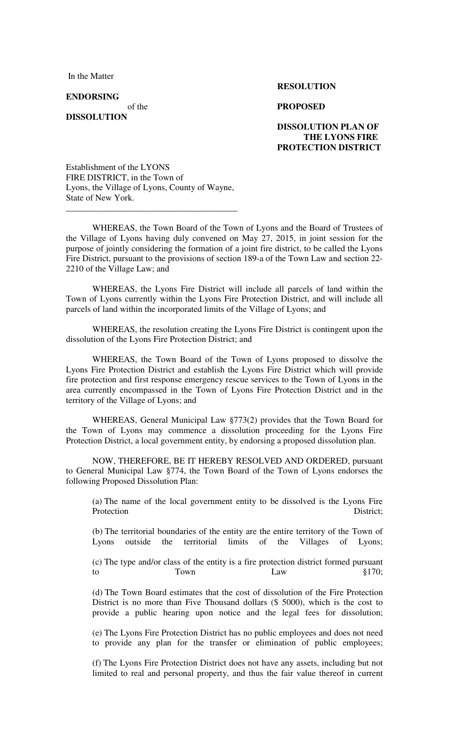In the Matter

**ENDORSING** 

**DISSOLUTION** 

#### **RESOLUTION**

#### of the **PROPOSED**

## **DISSOLUTION PLAN OF THE LYONS FIRE PROTECTION DISTRICT**

Establishment of the LYONS FIRE DISTRICT, in the Town of Lyons, the Village of Lyons, County of Wayne, State of New York.

\_\_\_\_\_\_\_\_\_\_\_\_\_\_\_\_\_\_\_\_\_\_\_\_\_\_\_\_\_\_\_\_\_\_\_\_\_\_\_

WHEREAS, the Town Board of the Town of Lyons and the Board of Trustees of the Village of Lyons having duly convened on May 27, 2015, in joint session for the purpose of jointly considering the formation of a joint fire district, to be called the Lyons Fire District, pursuant to the provisions of section 189-a of the Town Law and section 22- 2210 of the Village Law; and

WHEREAS, the Lyons Fire District will include all parcels of land within the Town of Lyons currently within the Lyons Fire Protection District, and will include all parcels of land within the incorporated limits of the Village of Lyons; and

WHEREAS, the resolution creating the Lyons Fire District is contingent upon the dissolution of the Lyons Fire Protection District; and

WHEREAS, the Town Board of the Town of Lyons proposed to dissolve the Lyons Fire Protection District and establish the Lyons Fire District which will provide fire protection and first response emergency rescue services to the Town of Lyons in the area currently encompassed in the Town of Lyons Fire Protection District and in the territory of the Village of Lyons; and

WHEREAS, General Municipal Law §773(2) provides that the Town Board for the Town of Lyons may commence a dissolution proceeding for the Lyons Fire Protection District, a local government entity, by endorsing a proposed dissolution plan.

NOW, THEREFORE, BE IT HEREBY RESOLVED AND ORDERED, pursuant to General Municipal Law §774, the Town Board of the Town of Lyons endorses the following Proposed Dissolution Plan:

(a) The name of the local government entity to be dissolved is the Lyons Fire Protection District;

(b) The territorial boundaries of the entity are the entire territory of the Town of Lyons outside the territorial limits of the Villages of Lyons;

(c) The type and/or class of the entity is a fire protection district formed pursuant to Town Law Law  $§170;$ 

(d) The Town Board estimates that the cost of dissolution of the Fire Protection District is no more than Five Thousand dollars (\$ 5000), which is the cost to provide a public hearing upon notice and the legal fees for dissolution;

(e) The Lyons Fire Protection District has no public employees and does not need to provide any plan for the transfer or elimination of public employees;

(f) The Lyons Fire Protection District does not have any assets, including but not limited to real and personal property, and thus the fair value thereof in current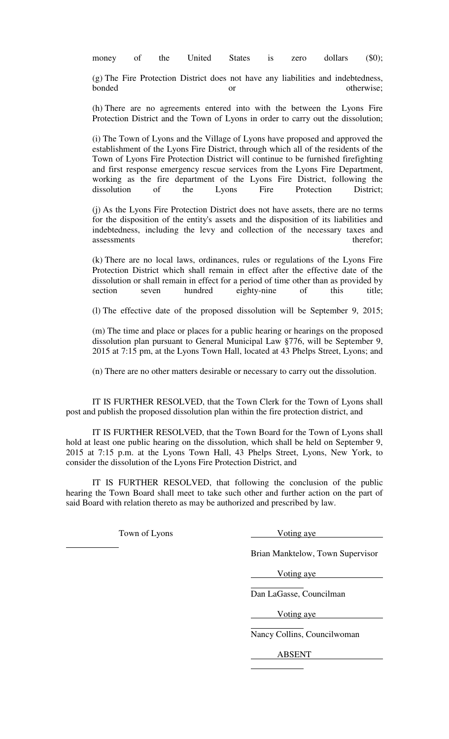money of the United States is zero dollars (\$0);

(g) The Fire Protection District does not have any liabilities and indebtedness, bonded or otherwise;

(h) There are no agreements entered into with the between the Lyons Fire Protection District and the Town of Lyons in order to carry out the dissolution;

(i) The Town of Lyons and the Village of Lyons have proposed and approved the establishment of the Lyons Fire District, through which all of the residents of the Town of Lyons Fire Protection District will continue to be furnished firefighting and first response emergency rescue services from the Lyons Fire Department, working as the fire department of the Lyons Fire District, following the dissolution of the Lyons Fire Protection District;

(j) As the Lyons Fire Protection District does not have assets, there are no terms for the disposition of the entity's assets and the disposition of its liabilities and indebtedness, including the levy and collection of the necessary taxes and assessments therefor; the contract of the contract of the contract of the contract of the contract of the contract of the contract of the contract of the contract of the contract of the contract of the contract of the cont

(k) There are no local laws, ordinances, rules or regulations of the Lyons Fire Protection District which shall remain in effect after the effective date of the dissolution or shall remain in effect for a period of time other than as provided by section seven hundred eighty-nine of this title;

(l) The effective date of the proposed dissolution will be September 9, 2015;

(m) The time and place or places for a public hearing or hearings on the proposed dissolution plan pursuant to General Municipal Law §776, will be September 9, 2015 at 7:15 pm, at the Lyons Town Hall, located at 43 Phelps Street, Lyons; and

(n) There are no other matters desirable or necessary to carry out the dissolution.

IT IS FURTHER RESOLVED, that the Town Clerk for the Town of Lyons shall post and publish the proposed dissolution plan within the fire protection district, and

IT IS FURTHER RESOLVED, that the Town Board for the Town of Lyons shall hold at least one public hearing on the dissolution, which shall be held on September 9, 2015 at 7:15 p.m. at the Lyons Town Hall, 43 Phelps Street, Lyons, New York, to consider the dissolution of the Lyons Fire Protection District, and

IT IS FURTHER RESOLVED, that following the conclusion of the public hearing the Town Board shall meet to take such other and further action on the part of said Board with relation thereto as may be authorized and prescribed by law.

Town of Lyons Voting aye

 $\overline{a}$ 

Brian Manktelow, Town Supervisor

Voting aye

 $\overline{a}$ 

 $\overline{a}$ 

 $\overline{a}$ 

Dan LaGasse, Councilman

Voting aye

Nancy Collins, Councilwoman

ABSENT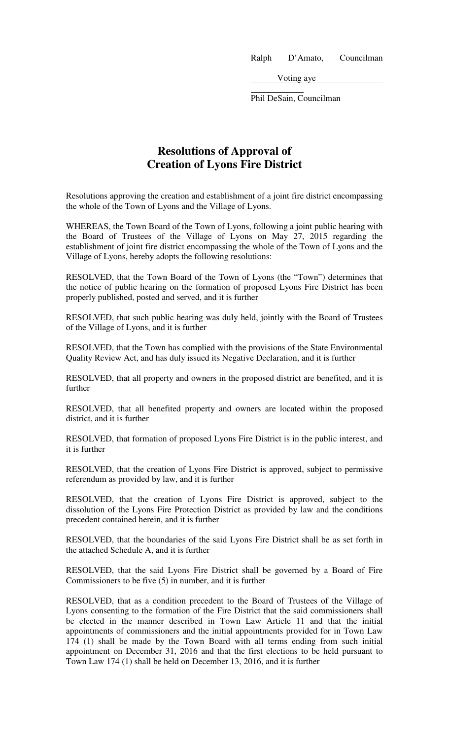Ralph D'Amato, Councilman

Voting aye

Phil DeSain, Councilman

# **Resolutions of Approval of Creation of Lyons Fire District**

 $\overline{a}$ 

Resolutions approving the creation and establishment of a joint fire district encompassing the whole of the Town of Lyons and the Village of Lyons.

WHEREAS, the Town Board of the Town of Lyons, following a joint public hearing with the Board of Trustees of the Village of Lyons on May 27, 2015 regarding the establishment of joint fire district encompassing the whole of the Town of Lyons and the Village of Lyons, hereby adopts the following resolutions:

RESOLVED, that the Town Board of the Town of Lyons (the "Town") determines that the notice of public hearing on the formation of proposed Lyons Fire District has been properly published, posted and served, and it is further

RESOLVED, that such public hearing was duly held, jointly with the Board of Trustees of the Village of Lyons, and it is further

RESOLVED, that the Town has complied with the provisions of the State Environmental Quality Review Act, and has duly issued its Negative Declaration, and it is further

RESOLVED, that all property and owners in the proposed district are benefited, and it is further

RESOLVED, that all benefited property and owners are located within the proposed district, and it is further

RESOLVED, that formation of proposed Lyons Fire District is in the public interest, and it is further

RESOLVED, that the creation of Lyons Fire District is approved, subject to permissive referendum as provided by law, and it is further

RESOLVED, that the creation of Lyons Fire District is approved, subject to the dissolution of the Lyons Fire Protection District as provided by law and the conditions precedent contained herein, and it is further

RESOLVED, that the boundaries of the said Lyons Fire District shall be as set forth in the attached Schedule A, and it is further

RESOLVED, that the said Lyons Fire District shall be governed by a Board of Fire Commissioners to be five (5) in number, and it is further

RESOLVED, that as a condition precedent to the Board of Trustees of the Village of Lyons consenting to the formation of the Fire District that the said commissioners shall be elected in the manner described in Town Law Article 11 and that the initial appointments of commissioners and the initial appointments provided for in Town Law 174 (1) shall be made by the Town Board with all terms ending from such initial appointment on December 31, 2016 and that the first elections to be held pursuant to Town Law 174 (1) shall be held on December 13, 2016, and it is further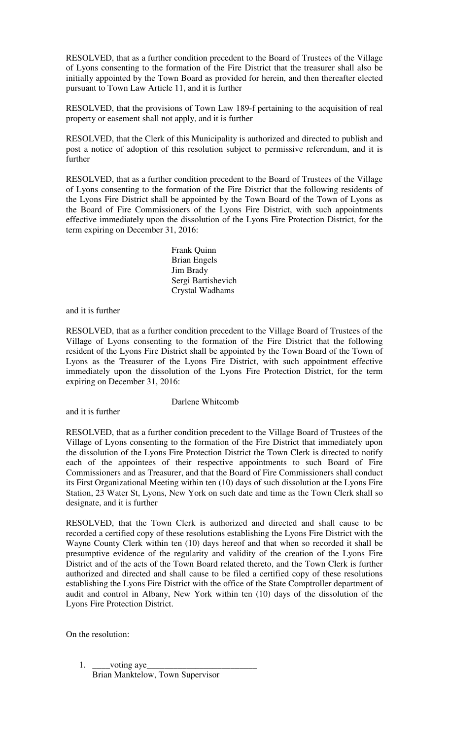RESOLVED, that as a further condition precedent to the Board of Trustees of the Village of Lyons consenting to the formation of the Fire District that the treasurer shall also be initially appointed by the Town Board as provided for herein, and then thereafter elected pursuant to Town Law Article 11, and it is further

RESOLVED, that the provisions of Town Law 189-f pertaining to the acquisition of real property or easement shall not apply, and it is further

RESOLVED, that the Clerk of this Municipality is authorized and directed to publish and post a notice of adoption of this resolution subject to permissive referendum, and it is further

RESOLVED, that as a further condition precedent to the Board of Trustees of the Village of Lyons consenting to the formation of the Fire District that the following residents of the Lyons Fire District shall be appointed by the Town Board of the Town of Lyons as the Board of Fire Commissioners of the Lyons Fire District, with such appointments effective immediately upon the dissolution of the Lyons Fire Protection District, for the term expiring on December 31, 2016:

> Frank Quinn Brian Engels Jim Brady Sergi Bartishevich Crystal Wadhams

and it is further

RESOLVED, that as a further condition precedent to the Village Board of Trustees of the Village of Lyons consenting to the formation of the Fire District that the following resident of the Lyons Fire District shall be appointed by the Town Board of the Town of Lyons as the Treasurer of the Lyons Fire District, with such appointment effective immediately upon the dissolution of the Lyons Fire Protection District, for the term expiring on December 31, 2016:

and it is further

Darlene Whitcomb

RESOLVED, that as a further condition precedent to the Village Board of Trustees of the Village of Lyons consenting to the formation of the Fire District that immediately upon the dissolution of the Lyons Fire Protection District the Town Clerk is directed to notify each of the appointees of their respective appointments to such Board of Fire Commissioners and as Treasurer, and that the Board of Fire Commissioners shall conduct its First Organizational Meeting within ten (10) days of such dissolution at the Lyons Fire Station, 23 Water St, Lyons, New York on such date and time as the Town Clerk shall so designate, and it is further

RESOLVED, that the Town Clerk is authorized and directed and shall cause to be recorded a certified copy of these resolutions establishing the Lyons Fire District with the Wayne County Clerk within ten (10) days hereof and that when so recorded it shall be presumptive evidence of the regularity and validity of the creation of the Lyons Fire District and of the acts of the Town Board related thereto, and the Town Clerk is further authorized and directed and shall cause to be filed a certified copy of these resolutions establishing the Lyons Fire District with the office of the State Comptroller department of audit and control in Albany, New York within ten (10) days of the dissolution of the Lyons Fire Protection District.

On the resolution:

1. \_\_\_\_voting aye\_ Brian Manktelow, Town Supervisor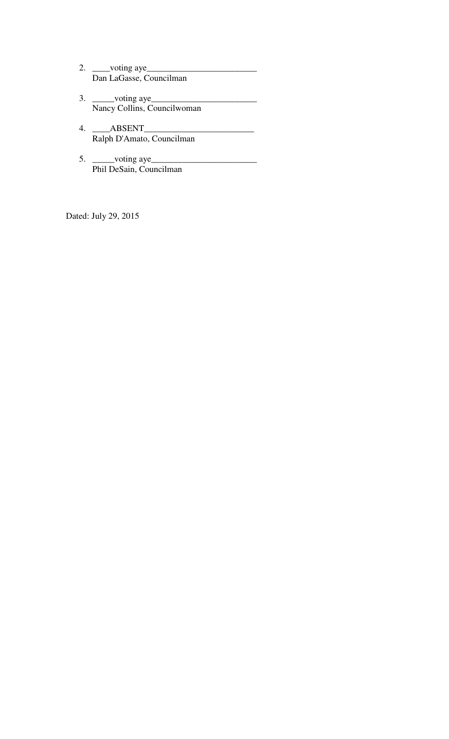- 2. \_\_\_\_voting aye\_\_\_\_\_\_\_\_\_\_\_\_\_\_\_\_\_\_\_\_\_\_\_\_\_ Dan LaGasse, Councilman
- 3. \_\_\_\_\_voting aye\_\_\_\_\_\_\_\_\_\_\_\_\_\_\_\_\_\_\_\_\_\_\_\_ Nancy Collins, Councilwoman
- 4. \_\_\_\_ABSENT\_\_\_\_\_\_\_\_\_\_\_\_\_\_\_\_\_\_\_\_\_\_\_\_\_ Ralph D'Amato, Councilman
- 5.  $\frac{\text{voting aye}}{\text{voting aye}}$ Phil DeSain, Councilman

Dated: July 29, 2015